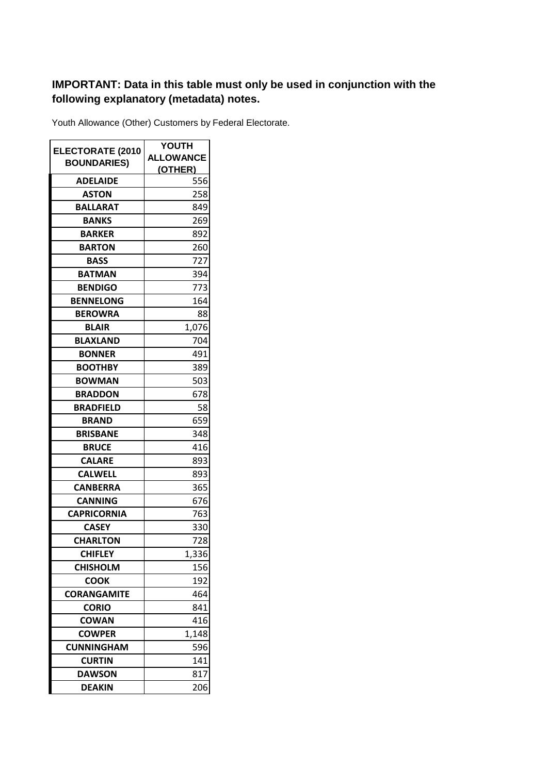## **IMPORTANT: Data in this table must only be used in conjunction with the following explanatory (metadata) notes.**

Youth Allowance (Other) Customers by Federal Electorate.

|                         | <b>YOUTH</b>     |
|-------------------------|------------------|
| <b>ELECTORATE (2010</b> | <b>ALLOWANCE</b> |
| <b>BOUNDARIES)</b>      | (OTHER)          |
| <b>ADELAIDE</b>         | 556              |
| <b>ASTON</b>            | 258              |
| <b>BALLARAT</b>         | 849              |
| <b>BANKS</b>            | 269              |
| <b>BARKER</b>           | 892              |
| <b>BARTON</b>           | 260              |
| <b>BASS</b>             | 727              |
| <b>BATMAN</b>           | 394              |
| <b>BENDIGO</b>          | 773              |
| <b>BENNELONG</b>        | 164              |
| <b>BEROWRA</b>          | 88               |
| <b>BLAIR</b>            | 1,076            |
| <b>BLAXLAND</b>         | 704              |
| <b>BONNER</b>           | 491              |
| <b>BOOTHBY</b>          | 389              |
| <b>BOWMAN</b>           | 503              |
| <b>BRADDON</b>          | 678              |
| <b>BRADFIELD</b>        | 58               |
| <b>BRAND</b>            | 659              |
| <b>BRISBANE</b>         | 348              |
| <b>BRUCE</b>            | 416              |
| <b>CALARE</b>           | 893              |
| <b>CALWELL</b>          | 893              |
| <b>CANBERRA</b>         | 365              |
| <b>CANNING</b>          | 676              |
| <b>CAPRICORNIA</b>      | 763              |
| <b>CASEY</b>            | 330              |
| <b>CHARLTON</b>         | 728              |
| <b>CHIFLEY</b>          | 1,336            |
| <b>CHISHOLM</b>         | 156              |
| <b>COOK</b>             | 192              |
| <b>CORANGAMITE</b>      | 464              |
| <b>CORIO</b>            | 841              |
| <b>COWAN</b>            | 416              |
| <b>COWPER</b>           | 1,148            |
| <b>CUNNINGHAM</b>       | 596              |
| <b>CURTIN</b>           | 141              |
| <b>DAWSON</b>           | 817              |
| <b>DEAKIN</b>           | 206              |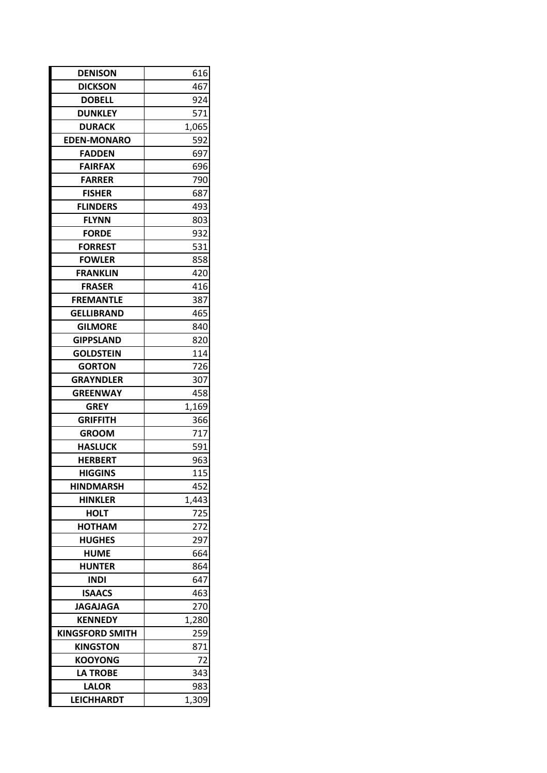| <b>DENISON</b>         | 616   |  |
|------------------------|-------|--|
| <b>DICKSON</b>         | 467   |  |
| <b>DOBELL</b>          | 924   |  |
| <b>DUNKLEY</b>         | 571   |  |
| <b>DURACK</b>          | 1,065 |  |
| <b>EDEN-MONARO</b>     | 592   |  |
| <b>FADDEN</b>          | 697   |  |
| <b>FAIRFAX</b>         | 696   |  |
| <b>FARRER</b>          | 790   |  |
| <b>FISHER</b>          | 687   |  |
| <b>FLINDERS</b>        | 493   |  |
| <b>FLYNN</b>           | 803   |  |
| <b>FORDE</b>           | 932   |  |
| <b>FORREST</b>         | 531   |  |
| <b>FOWLER</b>          | 858   |  |
| <b>FRANKLIN</b>        | 420   |  |
| <b>FRASER</b>          | 416   |  |
| <b>FREMANTLE</b>       | 387   |  |
| <b>GELLIBRAND</b>      | 465   |  |
| <b>GILMORE</b>         | 840   |  |
| <b>GIPPSLAND</b>       | 820   |  |
| <b>GOLDSTEIN</b>       | 114   |  |
| <b>GORTON</b>          | 726   |  |
| <b>GRAYNDLER</b>       | 307   |  |
| <b>GREENWAY</b>        | 458   |  |
| <b>GREY</b>            | 1,169 |  |
| <b>GRIFFITH</b>        | 366   |  |
| <b>GROOM</b>           | 717   |  |
| <b>HASLUCK</b>         | 591   |  |
| <b>HERBERT</b>         | 963   |  |
| <b>HIGGINS</b>         | 115   |  |
| <b>HINDMARSH</b>       | 452   |  |
| <b>HINKLER</b>         | 1,443 |  |
| <b>HOLT</b>            | 725   |  |
| <b>HOTHAM</b>          | 272   |  |
| <b>HUGHES</b>          | 297   |  |
| <b>HUME</b>            | 664   |  |
| <b>HUNTER</b>          | 864   |  |
| <b>INDI</b>            | 647   |  |
| <b>ISAACS</b>          | 463   |  |
| <b>JAGAJAGA</b>        | 270   |  |
| <b>KENNEDY</b>         | 1,280 |  |
| <b>KINGSFORD SMITH</b> | 259   |  |
| <b>KINGSTON</b>        | 871   |  |
| <b>KOOYONG</b>         | 72    |  |
| <b>LA TROBE</b>        | 343   |  |
| <b>LALOR</b>           | 983   |  |
| <b>LEICHHARDT</b>      | 1,309 |  |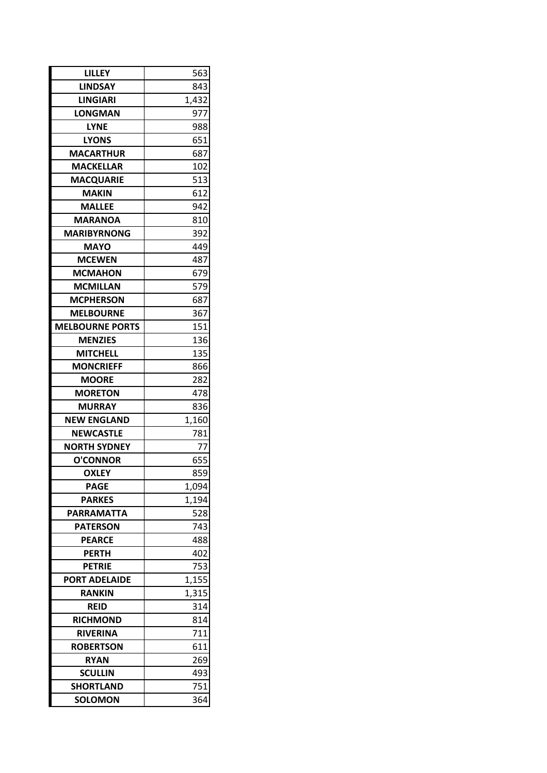| LILLEY                             | 563        |  |
|------------------------------------|------------|--|
| <b>LINDSAY</b>                     | 843        |  |
| <b>LINGIARI</b>                    | 1,432      |  |
| <b>LONGMAN</b>                     | 977        |  |
| <b>LYNE</b>                        | 988        |  |
| <b>LYONS</b>                       | 651        |  |
| <b>MACARTHUR</b>                   | 687        |  |
| <b>MACKELLAR</b>                   | 102        |  |
| <b>MACQUARIE</b>                   | 513        |  |
| <b>MAKIN</b>                       | 612        |  |
| <b>MALLEE</b>                      | 942        |  |
| <b>MARANOA</b>                     | 810        |  |
| <b>MARIBYRNONG</b>                 | 392        |  |
| <b>MAYO</b>                        | 449        |  |
| <b>MCEWEN</b>                      | 487        |  |
| <b>MCMAHON</b>                     | 679        |  |
| <b>MCMILLAN</b>                    | 579        |  |
| <b>MCPHERSON</b>                   | 687        |  |
| <b>MELBOURNE</b>                   | 367        |  |
| <b>MELBOURNE PORTS</b>             | 151        |  |
| <b>MENZIES</b>                     | 136        |  |
| <b>MITCHELL</b>                    | 135        |  |
| <b>MONCRIEFF</b>                   | 866        |  |
| <b>MOORE</b>                       | 282        |  |
| <b>MORETON</b>                     | 478        |  |
| <b>MURRAY</b>                      | 836        |  |
| <b>NEW ENGLAND</b>                 | 1,160      |  |
| <b>NEWCASTLE</b>                   | 781        |  |
| <b>NORTH SYDNEY</b>                | 77         |  |
| <b>O'CONNOR</b>                    | 655        |  |
| <b>OXLEY</b>                       | 859        |  |
| <b>PAGE</b>                        | 1,094      |  |
| <b>PARKES</b>                      | 1,194      |  |
| <b>PARRAMATTA</b>                  | 528        |  |
| <b>PATERSON</b>                    | 743        |  |
| <b>PEARCE</b>                      | 488        |  |
| <b>PERTH</b>                       | 402        |  |
| <b>PETRIE</b>                      | 753        |  |
| <b>PORT ADELAIDE</b>               | 1,155      |  |
| <b>RANKIN</b>                      | 1,315      |  |
| <b>REID</b>                        | 314        |  |
| <b>RICHMOND</b>                    | 814        |  |
| <b>RIVERINA</b>                    | 711        |  |
| <b>ROBERTSON</b>                   | 611        |  |
| <b>RYAN</b>                        | 269        |  |
| <b>SCULLIN</b>                     | 493        |  |
| <b>SHORTLAND</b><br><b>SOLOMON</b> | 751<br>364 |  |
|                                    |            |  |